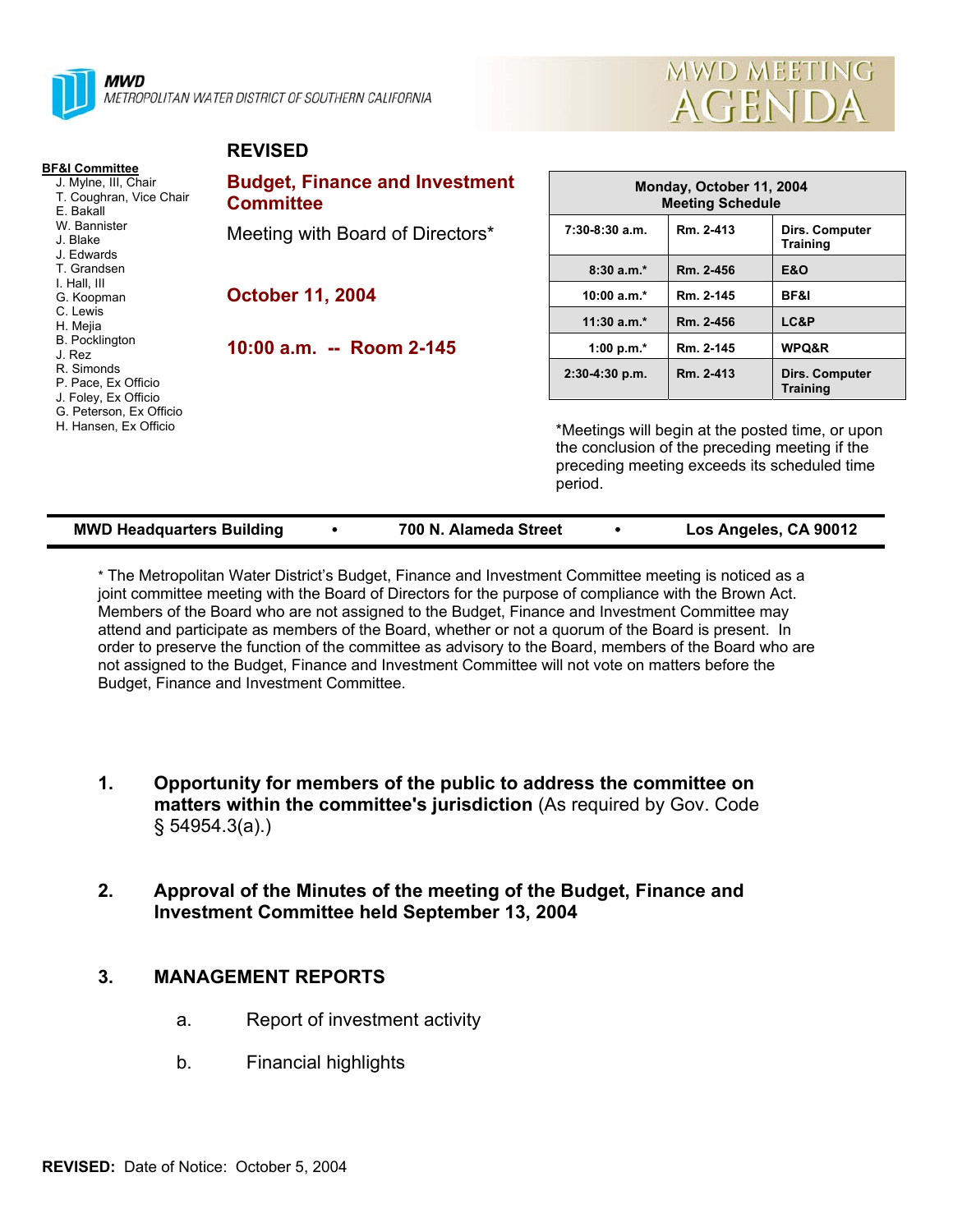

**REVISED**



|                                                                                                                                                                                                        | . <i>.</i>                                                |                                                                                                                                                               |           |                                          |
|--------------------------------------------------------------------------------------------------------------------------------------------------------------------------------------------------------|-----------------------------------------------------------|---------------------------------------------------------------------------------------------------------------------------------------------------------------|-----------|------------------------------------------|
| <b>BF&amp;I Committee</b><br>J. Mylne, III, Chair<br>T. Coughran, Vice Chair<br>E. Bakall<br>W. Bannister<br>J. Blake<br>J. Edwards                                                                    | <b>Budget, Finance and Investment</b><br><b>Committee</b> | Monday, October 11, 2004<br><b>Meeting Schedule</b>                                                                                                           |           |                                          |
|                                                                                                                                                                                                        | Meeting with Board of Directors*                          | $7:30-8:30$ a.m.                                                                                                                                              | Rm. 2-413 | <b>Dirs. Computer</b><br><b>Training</b> |
| T. Grandsen                                                                                                                                                                                            |                                                           | $8:30a.m.*$                                                                                                                                                   | Rm. 2-456 | <b>E&amp;O</b>                           |
| I. Hall, III<br>G. Koopman<br>C. Lewis<br>H. Mejia<br><b>B.</b> Pocklington<br>J. Rez<br>R. Simonds<br>P. Pace, Ex Officio<br>J. Foley, Ex Officio<br>G. Peterson, Ex Officio<br>H. Hansen, Ex Officio | <b>October 11, 2004</b>                                   | 10:00 $a.m.*$                                                                                                                                                 | Rm. 2-145 | BF&I                                     |
|                                                                                                                                                                                                        |                                                           | $11:30$ a.m.*                                                                                                                                                 | Rm. 2-456 | LC&P                                     |
|                                                                                                                                                                                                        | 10:00 a.m. -- Room 2-145                                  | 1:00 p.m. $*$                                                                                                                                                 | Rm. 2-145 | WPQ&R                                    |
|                                                                                                                                                                                                        |                                                           | $2:30-4:30 p.m.$                                                                                                                                              | Rm. 2-413 | Dirs. Computer<br><b>Training</b>        |
|                                                                                                                                                                                                        |                                                           | *Meetings will begin at the posted time, or upon<br>the conclusion of the preceding meeting if the<br>preceding meeting exceeds its scheduled time<br>period. |           |                                          |

| <b>MWD Headquarters Building</b> | 700 N. Alameda Street | Los Angeles, CA 90012 |
|----------------------------------|-----------------------|-----------------------|
|                                  |                       |                       |

\* The Metropolitan Water District's Budget, Finance and Investment Committee meeting is noticed as a joint committee meeting with the Board of Directors for the purpose of compliance with the Brown Act. Members of the Board who are not assigned to the Budget, Finance and Investment Committee may attend and participate as members of the Board, whether or not a quorum of the Board is present. In order to preserve the function of the committee as advisory to the Board, members of the Board who are not assigned to the Budget, Finance and Investment Committee will not vote on matters before the Budget, Finance and Investment Committee.

- **1. Opportunity for members of the public to address the committee on matters within the committee's jurisdiction** (As required by Gov. Code § 54954.3(a).)
- **2. Approval of the Minutes of the meeting of the Budget, Finance and Investment Committee held September 13, 2004**

# **3. MANAGEMENT REPORTS**

- a. Report of investment activity
- b. Financial highlights